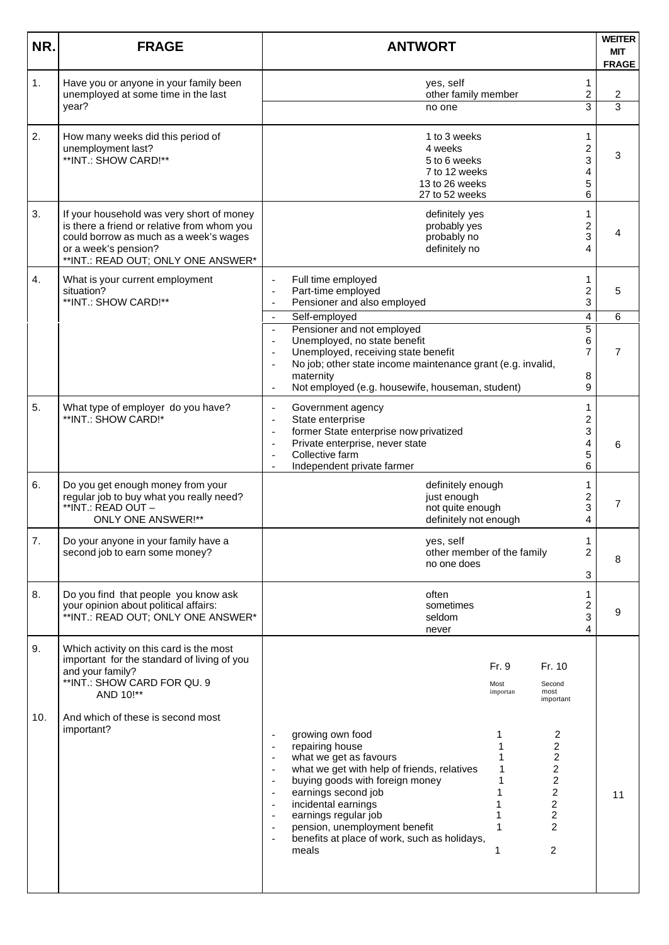| NR.       | <b>FRAGE</b>                                                                                                                                                                                              | <b>ANTWORT</b>                                                                                                                                                                                                                                                                                                                                                                                                                                                                                                                                                                                                                                      | <b>WEITER</b><br><b>MIT</b><br><b>FRAGE</b>           |
|-----------|-----------------------------------------------------------------------------------------------------------------------------------------------------------------------------------------------------------|-----------------------------------------------------------------------------------------------------------------------------------------------------------------------------------------------------------------------------------------------------------------------------------------------------------------------------------------------------------------------------------------------------------------------------------------------------------------------------------------------------------------------------------------------------------------------------------------------------------------------------------------------------|-------------------------------------------------------|
| 1.        | Have you or anyone in your family been<br>unemployed at some time in the last<br>year?                                                                                                                    | yes, self<br>other family member<br>no one                                                                                                                                                                                                                                                                                                                                                                                                                                                                                                                                                                                                          | 1<br>$\overline{\mathbf{c}}$<br>2<br>3<br>3           |
| 2.        | How many weeks did this period of<br>unemployment last?<br>**INT.: SHOW CARD!**                                                                                                                           | 1 to 3 weeks<br>4 weeks<br>5 to 6 weeks<br>7 to 12 weeks<br>13 to 26 weeks<br>27 to 52 weeks                                                                                                                                                                                                                                                                                                                                                                                                                                                                                                                                                        | 1<br>$\overline{\mathbf{c}}$<br>3<br>3<br>4<br>5<br>6 |
| 3.        | If your household was very short of money<br>is there a friend or relative from whom you<br>could borrow as much as a week's wages<br>or a week's pension?<br>**INT.: READ OUT; ONLY ONE ANSWER*          | definitely yes<br>probably yes<br>probably no<br>definitely no                                                                                                                                                                                                                                                                                                                                                                                                                                                                                                                                                                                      | 1<br>2<br>3<br>4                                      |
| 4.        | What is your current employment<br>situation?<br>**INT.: SHOW CARD!**                                                                                                                                     | Full time employed<br>Part-time employed<br>Pensioner and also employed<br>$\blacksquare$<br>Self-employed<br>$\sim$                                                                                                                                                                                                                                                                                                                                                                                                                                                                                                                                | 1<br>$\overline{\mathbf{c}}$<br>5<br>3<br>4<br>6      |
|           |                                                                                                                                                                                                           | Pensioner and not employed<br>$\mathbb{L}$<br>Unemployed, no state benefit<br>$\blacksquare$<br>Unemployed, receiving state benefit<br>No job; other state income maintenance grant (e.g. invalid,<br>$\blacksquare$<br>maternity<br>Not employed (e.g. housewife, houseman, student)                                                                                                                                                                                                                                                                                                                                                               | $\overline{5}$<br>6<br>7<br>7<br>8<br>9               |
| 5.        | What type of employer do you have?<br>**INT.: SHOW CARD!*                                                                                                                                                 | Government agency<br>State enterprise<br>$\overline{a}$<br>former State enterprise now privatized<br>$\overline{\phantom{a}}$<br>Private enterprise, never state<br>$\overline{\phantom{a}}$<br>Collective farm<br>Independent private farmer                                                                                                                                                                                                                                                                                                                                                                                                       | 1<br>2<br>3<br>4<br>6<br>5<br>6                       |
| 6.        | Do you get enough money from your<br>regular job to buy what you really need?<br>**INT.: READ OUT -<br><b>ONLY ONE ANSWER!**</b>                                                                          | definitely enough<br>just enough<br>not quite enough<br>definitely not enough                                                                                                                                                                                                                                                                                                                                                                                                                                                                                                                                                                       | 1<br>$\overline{\mathbf{c}}$<br>7<br>3<br>4           |
| 7.        | Do your anyone in your family have a<br>second job to earn some money?                                                                                                                                    | yes, self<br>other member of the family<br>no one does                                                                                                                                                                                                                                                                                                                                                                                                                                                                                                                                                                                              | 1<br>2<br>8<br>3                                      |
| 8.        | Do you find that people you know ask<br>your opinion about political affairs:<br>**INT.: READ OUT; ONLY ONE ANSWER*                                                                                       | often<br>sometimes<br>seldom<br>never                                                                                                                                                                                                                                                                                                                                                                                                                                                                                                                                                                                                               | 1<br>$\overline{\mathbf{c}}$<br>9<br>3<br>4           |
| 9.<br>10. | Which activity on this card is the most<br>important for the standard of living of you<br>and your family?<br>**INT.: SHOW CARD FOR QU. 9<br>AND 10!**<br>And which of these is second most<br>important? | Fr. 9<br>Fr. 10<br>Most<br>Second<br>most<br>importan<br>important<br>growing own food<br>2<br>1<br>2<br>repairing house<br>$\overline{\mathbf{c}}$<br>what we get as favours<br>$\overline{\mathbf{c}}$<br>what we get with help of friends, relatives<br>$\overline{a}$<br>2<br>buying goods with foreign money<br>$\overline{\phantom{a}}$<br>2<br>earnings second job<br>$\overline{\phantom{a}}$<br>$\overline{\mathbf{c}}$<br>incidental earnings<br>$\overline{\phantom{a}}$<br>earnings regular job<br>2<br>$\overline{c}$<br>pension, unemployment benefit<br>benefits at place of work, such as holidays,<br>$\overline{c}$<br>meals<br>1 | 11                                                    |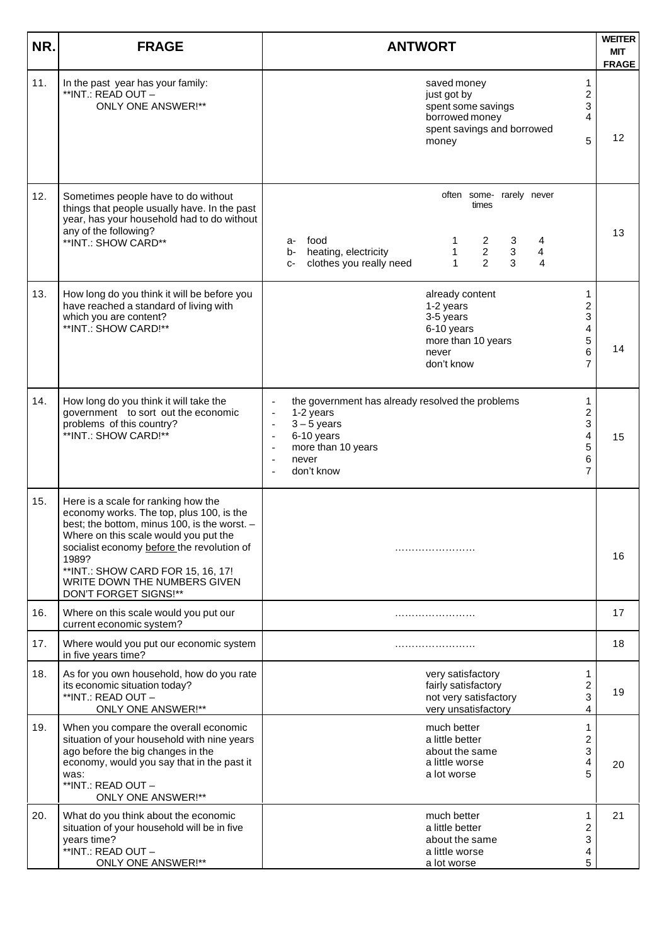| NR. | <b>FRAGE</b>                                                                                                                                                                                                                                                                                                                   | <b>ANTWORT</b>                                                                                                                                                                                                                                  |                                        |  |  |  |  |  |
|-----|--------------------------------------------------------------------------------------------------------------------------------------------------------------------------------------------------------------------------------------------------------------------------------------------------------------------------------|-------------------------------------------------------------------------------------------------------------------------------------------------------------------------------------------------------------------------------------------------|----------------------------------------|--|--|--|--|--|
| 11. | In the past year has your family:<br>**INT.: READ OUT -<br><b>ONLY ONE ANSWER!**</b>                                                                                                                                                                                                                                           | saved money<br>just got by<br>spent some savings<br>borrowed money<br>spent savings and borrowed<br>5<br>money                                                                                                                                  | <b>FRAGE</b><br>1<br>2<br>3<br>4<br>12 |  |  |  |  |  |
| 12. | Sometimes people have to do without<br>things that people usually have. In the past<br>year, has your household had to do without<br>any of the following?<br>**INT.: SHOW CARD**                                                                                                                                              | often some- rarely never<br>times<br>food<br>2<br>4<br>3<br>a-<br>$\overline{c}$<br>$\overline{\mathbf{4}}$<br>$\sqrt{3}$<br>heating, electricity<br>1<br>b-<br>2<br>$\mathbf{1}$<br>3<br>clothes you really need<br>4<br>$C-$                  | 13                                     |  |  |  |  |  |
| 13. | How long do you think it will be before you<br>have reached a standard of living with<br>which you are content?<br>**INT.: SHOW CARD!**                                                                                                                                                                                        | already content<br>1-2 years<br>3-5 years<br>6-10 years<br>more than 10 years<br>6<br>never<br>don't know<br>$\overline{7}$                                                                                                                     | 1<br>2<br>3<br>4<br>5<br>14            |  |  |  |  |  |
| 14. | How long do you think it will take the<br>government to sort out the economic<br>problems of this country?<br>**INT.: SHOW CARD!**                                                                                                                                                                                             | the government has already resolved the problems<br>1<br>1-2 years<br>$3 - 5$ years<br>$\blacksquare$<br>6-10 years<br>$\blacksquare$<br>more than 10 years<br>5<br>$\overline{\phantom{a}}$<br>6<br>never<br>$\overline{a}$<br>7<br>don't know | 2<br>3<br>4<br>15                      |  |  |  |  |  |
| 15. | Here is a scale for ranking how the<br>economy works. The top, plus 100, is the<br>best; the bottom, minus 100, is the worst. -<br>Where on this scale would you put the<br>socialist economy before the revolution of<br>1989?<br>** INT.: SHOW CARD FOR 15, 16, 17!<br>WRITE DOWN THE NUMBERS GIVEN<br>DON'T FORGET SIGNS!** |                                                                                                                                                                                                                                                 | 16                                     |  |  |  |  |  |
| 16. | Where on this scale would you put our<br>current economic system?                                                                                                                                                                                                                                                              |                                                                                                                                                                                                                                                 | 17                                     |  |  |  |  |  |
| 17. | Where would you put our economic system<br>in five years time?                                                                                                                                                                                                                                                                 |                                                                                                                                                                                                                                                 | 18                                     |  |  |  |  |  |
| 18. | As for you own household, how do you rate<br>its economic situation today?<br>**INT.: READ OUT -<br>ONLY ONE ANSWER!**                                                                                                                                                                                                         | very satisfactory<br>fairly satisfactory<br>$\overline{\mathbf{c}}$<br>not very satisfactory<br>very unsatisfactory                                                                                                                             | 1<br>19<br>3<br>4                      |  |  |  |  |  |
| 19. | When you compare the overall economic<br>situation of your household with nine years<br>ago before the big changes in the<br>economy, would you say that in the past it<br>was:<br>**INT.: READ OUT -<br><b>ONLY ONE ANSWER!**</b>                                                                                             | much better<br>a little better<br>about the same<br>a little worse<br>5<br>a lot worse                                                                                                                                                          | 1<br>2<br>3<br>4<br>20                 |  |  |  |  |  |
| 20. | What do you think about the economic<br>situation of your household will be in five<br>years time?<br>**INT.: READ OUT -<br><b>ONLY ONE ANSWER!**</b>                                                                                                                                                                          | much better<br>1<br>a little better<br>about the same<br>a little worse<br>a lot worse                                                                                                                                                          | 21<br>2<br>3<br>4<br>5                 |  |  |  |  |  |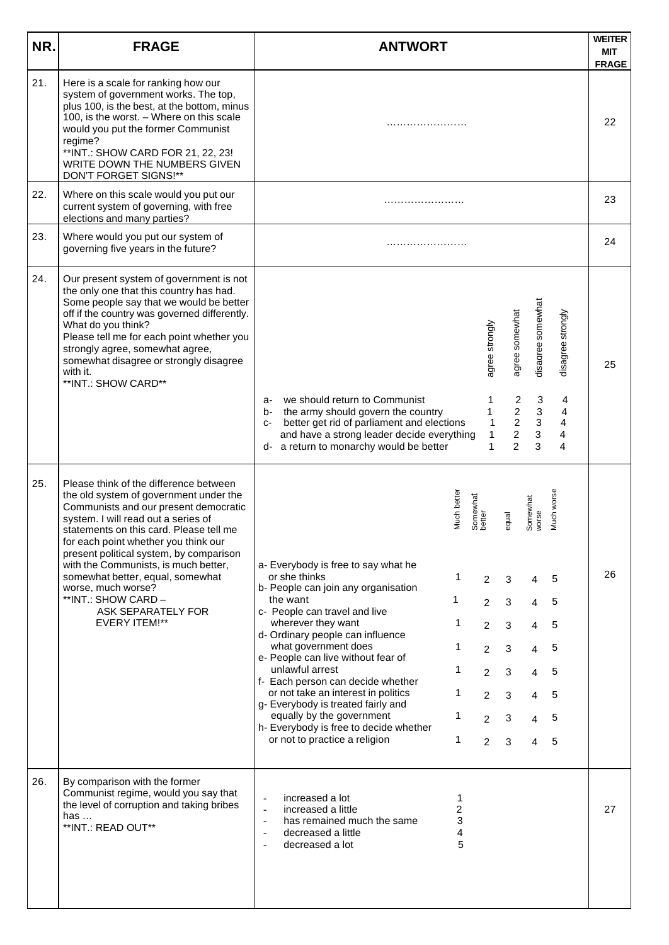| NR. | <b>FRAGE</b>                                                                                                                                                                                                                                                                                                                                                                                                                                                          | <b>ANTWORT</b>                                                                                                                                                                                                                                                                                                                                                                                                                                                                                                                                                                                                                                                                                                                                                               | <b>WEITER</b><br><b>MIT</b><br><b>FRAGE</b> |
|-----|-----------------------------------------------------------------------------------------------------------------------------------------------------------------------------------------------------------------------------------------------------------------------------------------------------------------------------------------------------------------------------------------------------------------------------------------------------------------------|------------------------------------------------------------------------------------------------------------------------------------------------------------------------------------------------------------------------------------------------------------------------------------------------------------------------------------------------------------------------------------------------------------------------------------------------------------------------------------------------------------------------------------------------------------------------------------------------------------------------------------------------------------------------------------------------------------------------------------------------------------------------------|---------------------------------------------|
| 21. | Here is a scale for ranking how our<br>system of government works. The top,<br>plus 100, is the best, at the bottom, minus<br>100, is the worst. - Where on this scale<br>would you put the former Communist<br>regime?<br>** INT.: SHOW CARD FOR 21, 22, 23!<br>WRITE DOWN THE NUMBERS GIVEN<br>DON'T FORGET SIGNS!**                                                                                                                                                |                                                                                                                                                                                                                                                                                                                                                                                                                                                                                                                                                                                                                                                                                                                                                                              | 22                                          |
| 22. | Where on this scale would you put our<br>current system of governing, with free<br>elections and many parties?                                                                                                                                                                                                                                                                                                                                                        |                                                                                                                                                                                                                                                                                                                                                                                                                                                                                                                                                                                                                                                                                                                                                                              | 23                                          |
| 23. | Where would you put our system of<br>governing five years in the future?                                                                                                                                                                                                                                                                                                                                                                                              |                                                                                                                                                                                                                                                                                                                                                                                                                                                                                                                                                                                                                                                                                                                                                                              | 24                                          |
| 24. | Our present system of government is not<br>the only one that this country has had.<br>Some people say that we would be better<br>off if the country was governed differently.<br>What do you think?<br>Please tell me for each point whether you<br>strongly agree, somewhat agree,<br>somewhat disagree or strongly disagree<br>with it.<br>**INT.: SHOW CARD**                                                                                                      | disagree somewhat<br>agree somewhat<br>disagree strongly<br>agree strongly<br>we should return to Communist<br>$\overline{c}$<br>$\mathbf{3}$<br>1<br>4<br>a-<br>$\overline{a}$<br>3<br>b- the army should govern the country<br>1<br>4<br>$\overline{c}$<br>$\sqrt{3}$<br>better get rid of parliament and elections<br>4<br>$\mathbf{1}$<br>$C-$                                                                                                                                                                                                                                                                                                                                                                                                                           | 25                                          |
|     |                                                                                                                                                                                                                                                                                                                                                                                                                                                                       | $\overline{c}$<br>3<br>4<br>and have a strong leader decide everything<br>1<br>2<br>3<br>4<br>a return to monarchy would be better<br>1<br>d-                                                                                                                                                                                                                                                                                                                                                                                                                                                                                                                                                                                                                                |                                             |
| 25. | Please think of the difference between<br>the old system of government under the<br>Communists and our present democratic<br>system. I will read out a series of<br>statements on this card. Please tell me<br>for each point whether you think our<br>present political system, by comparison<br>with the Communists, is much better,<br>somewhat better, equal, somewhat<br>worse, much worse?<br>**INT.: SHOW CARD -<br>ASK SEPARATELY FOR<br><b>EVERY ITEM!**</b> | Much worse<br>Much better<br>Somewhat<br>better<br>Somewhat<br>worse<br>equal<br>a- Everybody is free to say what he<br>or she thinks<br>1<br>$\overline{2}$<br>3<br>5<br>4<br>b- People can join any organisation<br>the want<br>$\mathbf{1}$<br>5<br>$\overline{2}$<br>3<br>$\overline{4}$<br>c- People can travel and live<br>wherever they want<br>1<br>$\overline{2}$<br>5<br>3<br>4<br>d- Ordinary people can influence<br>what government does<br>1<br>5<br>3<br>$\overline{2}$<br>$\overline{4}$<br>e- People can live without fear of<br>unlawful arrest<br>1<br>3<br>5<br>$\overline{2}$<br>$\overline{4}$<br>f- Each person can decide whether<br>or not take an interest in politics<br>1<br>$\overline{2}$<br>3<br>5<br>4<br>g- Everybody is treated fairly and | 26                                          |
|     |                                                                                                                                                                                                                                                                                                                                                                                                                                                                       | $\mathbf 1$<br>equally by the government<br>5<br>3<br>2<br>4<br>h- Everybody is free to decide whether<br>or not to practice a religion<br>$\mathbf{1}$<br>5<br>$\overline{2}$<br>3<br>4                                                                                                                                                                                                                                                                                                                                                                                                                                                                                                                                                                                     |                                             |
| 26. | By comparison with the former<br>Communist regime, would you say that<br>the level of corruption and taking bribes<br>has $\dots$<br>**INT.: READ OUT**                                                                                                                                                                                                                                                                                                               | 1<br>increased a lot<br>2<br>increased a little<br>$\overline{a}$<br>3<br>has remained much the same<br>$\overline{\phantom{a}}$<br>4<br>decreased a little<br>$\overline{a}$<br>5<br>decreased a lot                                                                                                                                                                                                                                                                                                                                                                                                                                                                                                                                                                        | 27                                          |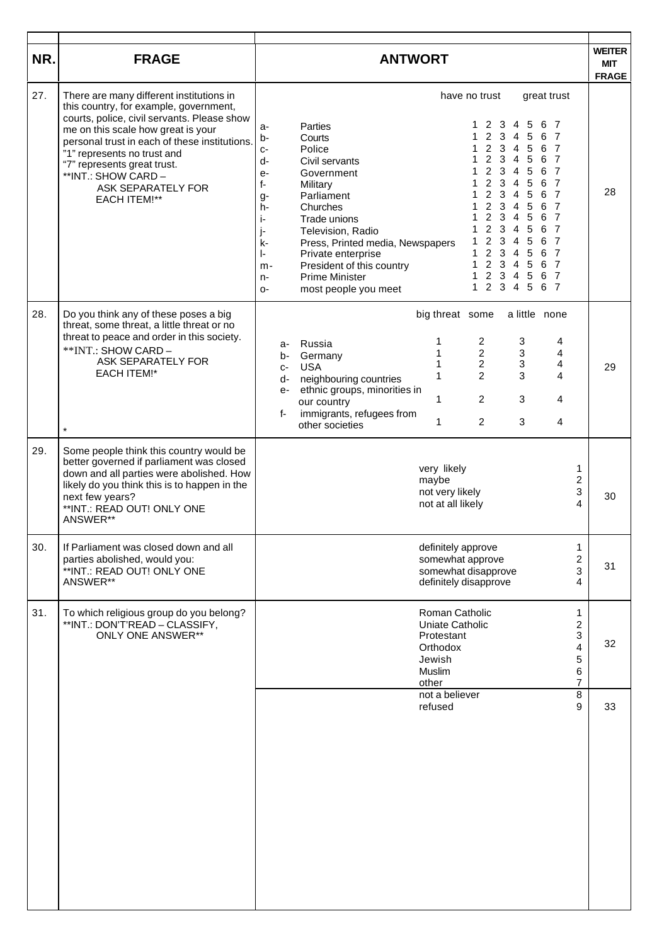| NR. | <b>FRAGE</b>                                                                                                                                                                                                                                                                                                                                               | <b>ANTWORT</b>                                                                                                                                                                                                                                                                                                                                                                                                                                                                                                                                                                                                                                                                                                                                                                                                                                                                                                                                                                                                                                                                                                                                                                                                                                                             | <b>WEITER</b><br><b>MIT</b> |
|-----|------------------------------------------------------------------------------------------------------------------------------------------------------------------------------------------------------------------------------------------------------------------------------------------------------------------------------------------------------------|----------------------------------------------------------------------------------------------------------------------------------------------------------------------------------------------------------------------------------------------------------------------------------------------------------------------------------------------------------------------------------------------------------------------------------------------------------------------------------------------------------------------------------------------------------------------------------------------------------------------------------------------------------------------------------------------------------------------------------------------------------------------------------------------------------------------------------------------------------------------------------------------------------------------------------------------------------------------------------------------------------------------------------------------------------------------------------------------------------------------------------------------------------------------------------------------------------------------------------------------------------------------------|-----------------------------|
| 27. | There are many different institutions in<br>this country, for example, government,<br>courts, police, civil servants. Please show<br>me on this scale how great is your<br>personal trust in each of these institutions.<br>"1" represents no trust and<br>"7" represents great trust.<br>**INT.: SHOW CARD -<br>ASK SEPARATELY FOR<br><b>EACH ITEM!**</b> | have no trust<br>great trust<br>2<br>3<br>5<br>6<br>4<br>$\overline{7}$<br>Parties<br>1<br>a-<br>$\overline{2}$<br>3<br>4<br>5<br>6<br>- 7<br>$b -$<br>Courts<br>2<br>3<br>4<br>5<br>6<br>Police<br>1<br>- 7<br>$C-$<br>$\overline{2}$<br>3<br>$\overline{4}$<br>5<br>1<br>6<br>- 7<br>d-<br>Civil servants<br>2 <sub>3</sub><br>$\overline{4}$<br>5<br>- 7<br>6<br>1<br>Government<br>e-<br>$\overline{2}$<br>3<br>5<br>6<br>4<br>- 7<br>f-<br>Military<br>$\overline{2}$<br>3<br>5<br>6<br>- 7<br>4<br>Parliament<br>1<br>$g-$<br>$\overline{2}$<br>3<br>$\overline{4}$<br>5<br>6 7<br>1<br>Churches<br>h-<br>$\overline{c}$<br>3<br>1<br>4<br>5<br>6<br>- 7<br>Trade unions<br>j-<br>$\overline{2}$<br>3<br>1<br>4<br>5<br>6<br>- 7<br>Television, Radio<br>j-<br>$\overline{c}$<br>3<br>5<br>6<br>4<br>- 7<br>1<br>Press, Printed media, Newspapers<br>k-<br>$\overline{2}$<br>$\mathbf{3}$<br>5<br>$\overline{4}$<br>6<br>$\overline{7}$<br>Private enterprise<br>1<br>ŀ.<br>2 <sub>3</sub><br>$\mathbf{1}$<br>$\overline{5}$<br>4<br>6 7<br>President of this country<br>m-<br>$2^{\circ}$<br>$\mathbf{1}$<br>3<br>5<br>6 7<br>4<br><b>Prime Minister</b><br>n-<br>$\overline{2}$<br>6 7<br>3<br>$\overline{4}$<br>5<br>$\mathbf{1}$<br>most people you meet<br>$O-$ | <b>FRAGE</b><br>28          |
| 28. | Do you think any of these poses a big<br>threat, some threat, a little threat or no<br>threat to peace and order in this society.<br>**INT.: SHOW CARD -<br>ASK SEPARATELY FOR<br><b>EACH ITEM!*</b><br>$\star$                                                                                                                                            | big threat some<br>a little none<br>$\overline{c}$<br>3<br>1<br>4<br>Russia<br>a-<br>$\overline{c}$<br>3<br>1<br>4<br>Germany<br>b-<br>$\overline{2}$<br>$\mathbf{3}$<br>1<br>4<br><b>USA</b><br>$C-$<br>$\overline{2}$<br>3<br>4<br>1<br>neighbouring countries<br>d-<br>ethnic groups, minorities in<br>$e-$<br>1<br>$\overline{c}$<br>3<br>4<br>our country<br>immigrants, refugees from<br>f-<br>$\overline{2}$<br>$\mathbf{3}$<br>1<br>4<br>other societies                                                                                                                                                                                                                                                                                                                                                                                                                                                                                                                                                                                                                                                                                                                                                                                                           | 29                          |
| 29. | Some people think this country would be<br>better governed if parliament was closed<br>down and all parties were abolished. How<br>likely do you think this is to happen in the<br>next few years?<br>**INT.: READ OUT! ONLY ONE<br>ANSWER**                                                                                                               | very likely<br>1<br>2<br>maybe<br>3<br>not very likely<br>4<br>not at all likely                                                                                                                                                                                                                                                                                                                                                                                                                                                                                                                                                                                                                                                                                                                                                                                                                                                                                                                                                                                                                                                                                                                                                                                           | 30                          |
| 30. | If Parliament was closed down and all<br>parties abolished, would you:<br>**INT.: READ OUT! ONLY ONE<br>ANSWER**                                                                                                                                                                                                                                           | definitely approve<br>1<br>$\overline{\mathbf{c}}$<br>somewhat approve<br>3<br>somewhat disapprove<br>definitely disapprove<br>4                                                                                                                                                                                                                                                                                                                                                                                                                                                                                                                                                                                                                                                                                                                                                                                                                                                                                                                                                                                                                                                                                                                                           | 31                          |
| 31. | To which religious group do you belong?<br>**INT.: DON'T'READ - CLASSIFY,<br><b>ONLY ONE ANSWER**</b>                                                                                                                                                                                                                                                      | Roman Catholic<br>1<br>$\overline{c}$<br>Uniate Catholic<br>3<br>Protestant<br>4<br>Orthodox<br>5<br>Jewish<br>6<br>Muslim<br>$\overline{7}$<br>other                                                                                                                                                                                                                                                                                                                                                                                                                                                                                                                                                                                                                                                                                                                                                                                                                                                                                                                                                                                                                                                                                                                      | 32                          |
|     |                                                                                                                                                                                                                                                                                                                                                            | $\bf 8$<br>not a believer<br>9<br>refused                                                                                                                                                                                                                                                                                                                                                                                                                                                                                                                                                                                                                                                                                                                                                                                                                                                                                                                                                                                                                                                                                                                                                                                                                                  | 33                          |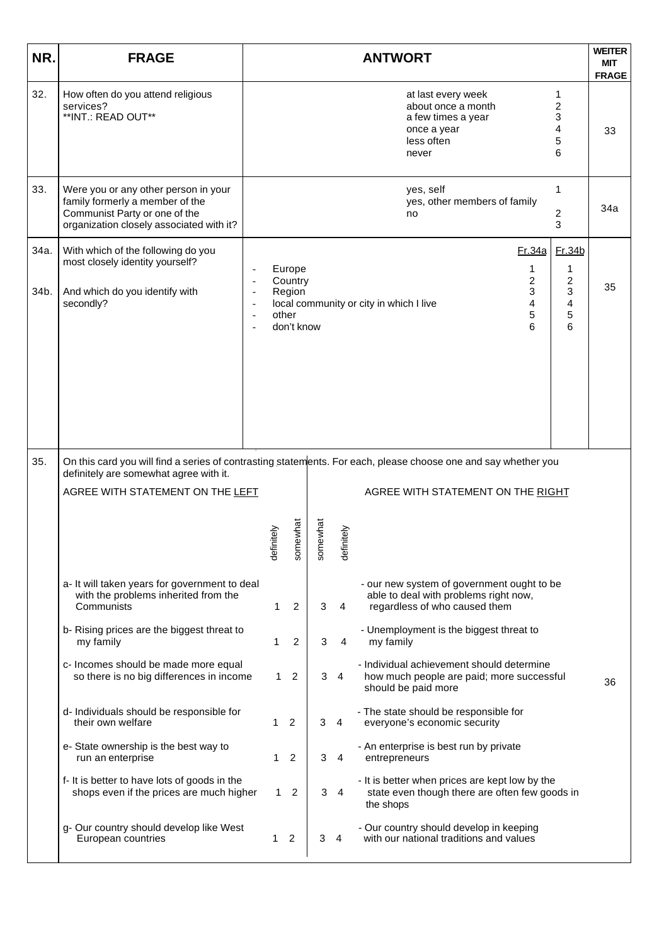| NR.          | <b>FRAGE</b>                                                                                                                                         |                          |              |                                           |               |                 | <b>ANTWORT</b>                                                                                                                                       | <b>WEITER</b><br><b>MIT</b><br><b>FRAGE</b> |
|--------------|------------------------------------------------------------------------------------------------------------------------------------------------------|--------------------------|--------------|-------------------------------------------|---------------|-----------------|------------------------------------------------------------------------------------------------------------------------------------------------------|---------------------------------------------|
| 32.          | How often do you attend religious<br>services?<br>**INT.: READ OUT**                                                                                 |                          |              |                                           |               |                 | at last every week<br>1<br>$\overline{c}$<br>about once a month<br>3<br>a few times a year<br>4<br>once a year<br>5<br>less often<br>6<br>never      | 33                                          |
| 33.          | Were you or any other person in your<br>family formerly a member of the<br>Communist Party or one of the<br>organization closely associated with it? |                          |              |                                           |               |                 | 1<br>yes, self<br>yes, other members of family<br>2<br>no<br>3                                                                                       | 34a                                         |
| 34a.<br>34b. | With which of the following do you<br>most closely identity yourself?<br>And which do you identify with<br>secondly?                                 | $\overline{\phantom{a}}$ | other        | Europe<br>Country<br>Region<br>don't know |               |                 | Fr.34b<br><u>Fr.34a</u><br>1<br>1<br>$\overline{\mathbf{c}}$<br>2<br>3<br>3<br>4<br>local community or city in which I live<br>4<br>5<br>5<br>6<br>6 | 35                                          |
|              |                                                                                                                                                      |                          |              |                                           |               |                 |                                                                                                                                                      |                                             |
| 35.          | definitely are somewhat agree with it.<br>AGREE WITH STATEMENT ON THE LEFT                                                                           |                          | initely<br>Ë | newhat<br>SΟΠ                             | newhat<br>SOT | initely<br>defi | On this card you will find a series of contrasting statements. For each, please choose one and say whether you<br>AGREE WITH STATEMENT ON THE RIGHT  |                                             |
|              | a- It will taken years for government to deal<br>with the problems inherited from the<br>Communists                                                  |                          | 1            | 2                                         | 3             | 4               | - our new system of government ought to be<br>able to deal with problems right now,<br>regardless of who caused them                                 |                                             |
|              | b- Rising prices are the biggest threat to<br>my family                                                                                              |                          | 1            | 2                                         | 3             | 4               | - Unemployment is the biggest threat to<br>my family                                                                                                 |                                             |
|              | c- Incomes should be made more equal<br>so there is no big differences in income                                                                     |                          | 1.           | $\overline{2}$                            | 3             | $\overline{4}$  | - Individual achievement should determine<br>how much people are paid; more successful<br>should be paid more                                        | 36                                          |
|              | d- Individuals should be responsible for<br>their own welfare                                                                                        |                          | 1            | 2                                         | 3             | 4               | - The state should be responsible for<br>everyone's economic security                                                                                |                                             |
|              | e- State ownership is the best way to<br>run an enterprise                                                                                           |                          |              | 2                                         | 3             | 4               | - An enterprise is best run by private<br>entrepreneurs                                                                                              |                                             |
|              | f- It is better to have lots of goods in the<br>shops even if the prices are much higher                                                             |                          | 1.           | 2                                         | 3             | 4               | - It is better when prices are kept low by the<br>state even though there are often few goods in<br>the shops                                        |                                             |
|              | g- Our country should develop like West<br>European countries                                                                                        |                          | 1.           | 2                                         | 3             | 4               | - Our country should develop in keeping<br>with our national traditions and values                                                                   |                                             |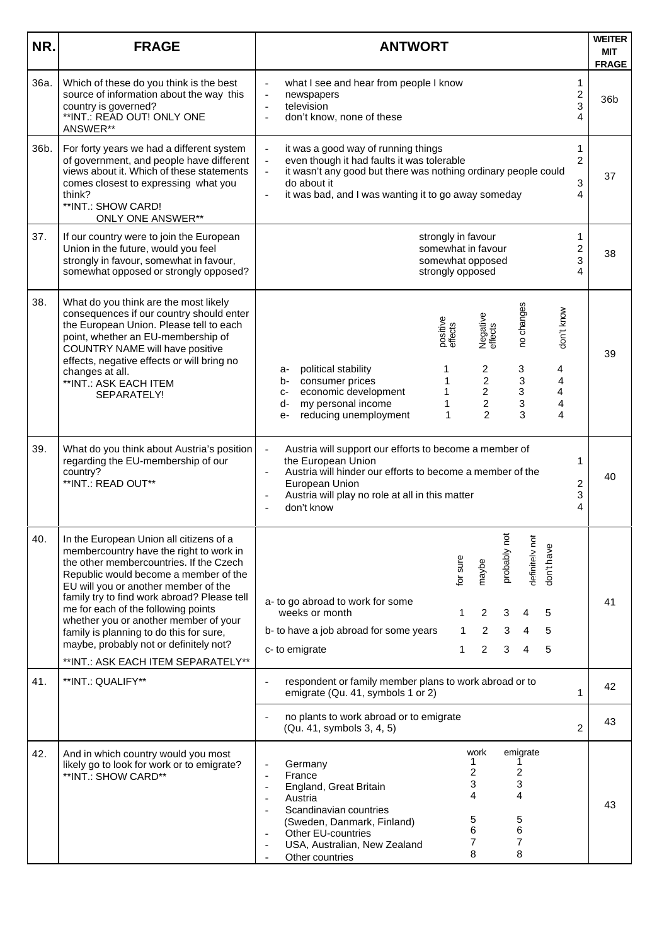| NR.  | <b>FRAGE</b>                                                                                                                                                                                                                                                                                                                                                                                                                                                             | <b>WEITER</b><br><b>ANTWORT</b>                                                                                                                                                                                                                                                                                                                                                                                          |                                                               |  |  |  |  |
|------|--------------------------------------------------------------------------------------------------------------------------------------------------------------------------------------------------------------------------------------------------------------------------------------------------------------------------------------------------------------------------------------------------------------------------------------------------------------------------|--------------------------------------------------------------------------------------------------------------------------------------------------------------------------------------------------------------------------------------------------------------------------------------------------------------------------------------------------------------------------------------------------------------------------|---------------------------------------------------------------|--|--|--|--|
| 36a. | Which of these do you think is the best<br>source of information about the way this<br>country is governed?<br>**INT.: READ OUT! ONLY ONE<br>ANSWER**                                                                                                                                                                                                                                                                                                                    | what I see and hear from people I know<br>$\overline{\phantom{a}}$<br>newspapers<br>$\overline{\phantom{a}}$<br>television<br>$\overline{\phantom{a}}$<br>don't know, none of these<br>$\overline{a}$                                                                                                                                                                                                                    | <b>FRAGE</b><br>1<br>$\overline{\mathbf{c}}$<br>36b<br>3<br>4 |  |  |  |  |
| 36b. | For forty years we had a different system<br>of government, and people have different<br>views about it. Which of these statements<br>comes closest to expressing what you<br>think?<br>**INT.: SHOW CARD!<br><b>ONLY ONE ANSWER**</b>                                                                                                                                                                                                                                   | it was a good way of running things<br>$\overline{\phantom{a}}$<br>even though it had faults it was tolerable<br>$\overline{\phantom{a}}$<br>it wasn't any good but there was nothing ordinary people could<br>$\frac{1}{2}$<br>do about it<br>it was bad, and I was wanting it to go away someday<br>$\overline{a}$                                                                                                     | 1<br>2<br>37<br>3<br>4                                        |  |  |  |  |
| 37.  | If our country were to join the European<br>Union in the future, would you feel<br>strongly in favour, somewhat in favour,<br>somewhat opposed or strongly opposed?                                                                                                                                                                                                                                                                                                      | strongly in favour<br>somewhat in favour<br>somewhat opposed<br>strongly opposed                                                                                                                                                                                                                                                                                                                                         | 1<br>2<br>38<br>3<br>4                                        |  |  |  |  |
| 38.  | What do you think are the most likely<br>consequences if our country should enter<br>the European Union. Please tell to each<br>point, whether an EU-membership of<br>COUNTRY NAME will have positive<br>effects, negative effects or will bring no<br>changes at all.<br>**INT.: ASK EACH ITEM<br>SEPARATELY!                                                                                                                                                           | no changes<br>don't know<br>Negative<br>effects<br>positive<br>effects<br>2<br>3<br>political stability<br>1<br>4<br>a-<br>$\overline{\mathbf{c}}$<br>$\ensuremath{\mathsf{3}}$<br>consumer prices<br>1<br>4<br>b-<br>$\overline{c}$<br>3<br>economic development<br>4<br>1<br>$C-$<br>$\overline{c}$<br>3<br>my personal income<br>4<br>d-<br>1<br>$\overline{2}$<br>3<br>reducing unemployment<br>4<br>1<br>$e-$       | 39                                                            |  |  |  |  |
| 39.  | What do you think about Austria's position<br>regarding the EU-membership of our<br>country?<br>**INT.: READ OUT**                                                                                                                                                                                                                                                                                                                                                       | Austria will support our efforts to become a member of<br>$\overline{\phantom{a}}$<br>the European Union<br>Austria will hinder our efforts to become a member of the<br>$\blacksquare$<br>European Union<br>Austria will play no role at all in this matter<br>$\overline{a}$<br>don't know                                                                                                                             | 1<br>40<br>2<br>3<br>4                                        |  |  |  |  |
| 40.  | In the European Union all citizens of a<br>membercountry have the right to work in<br>the other membercountries. If the Czech<br>Republic would become a member of the<br>EU will you or another member of the<br>family try to find work abroad? Please tell<br>me for each of the following points<br>whether you or another member of your<br>family is planning to do this for sure,<br>maybe, probably not or definitely not?<br>**INT.: ASK EACH ITEM SEPARATELY** | probably not<br>definitely not<br>don't have<br>for sure<br>maybe<br>a- to go abroad to work for some<br>weeks or month<br>2<br>3<br>5<br>1<br>4<br>5<br>b- to have a job abroad for some years<br>2<br>3<br>1<br>4<br>$\overline{2}$<br>3<br>5<br>c- to emigrate<br>1<br>4                                                                                                                                              | 41                                                            |  |  |  |  |
| 41.  | **INT.: QUALIFY**                                                                                                                                                                                                                                                                                                                                                                                                                                                        | respondent or family member plans to work abroad or to<br>emigrate (Qu. 41, symbols 1 or 2)                                                                                                                                                                                                                                                                                                                              | 42<br>$\mathbf{1}$                                            |  |  |  |  |
|      |                                                                                                                                                                                                                                                                                                                                                                                                                                                                          | no plants to work abroad or to emigrate<br>(Qu. 41, symbols 3, 4, 5)                                                                                                                                                                                                                                                                                                                                                     | 43<br>$\overline{2}$                                          |  |  |  |  |
| 42.  | And in which country would you most<br>likely go to look for work or to emigrate?<br>**INT.: SHOW CARD**                                                                                                                                                                                                                                                                                                                                                                 | work<br>emigrate<br>1<br>Germany<br>2<br>2<br>France<br>$\overline{a}$<br>3<br>3<br>England, Great Britain<br>$\overline{\phantom{a}}$<br>4<br>4<br>Austria<br>$\overline{\phantom{a}}$<br>Scandinavian countries<br>$\overline{\phantom{a}}$<br>5<br>5<br>(Sweden, Danmark, Finland)<br>6<br>6<br>Other EU-countries<br>$\overline{\phantom{0}}$<br>7<br>7<br>USA, Australian, New Zealand<br>8<br>8<br>Other countries | 43                                                            |  |  |  |  |